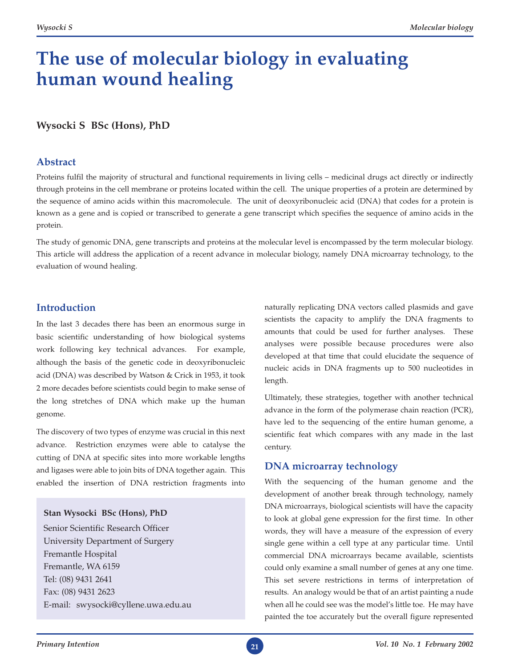# **The use of molecular biology in evaluating human wound healing**

## **Wysocki S BSc (Hons), PhD**

### **Abstract**

Proteins fulfil the majority of structural and functional requirements in living cells – medicinal drugs act directly or indirectly through proteins in the cell membrane or proteins located within the cell. The unique properties of a protein are determined by the sequence of amino acids within this macromolecule. The unit of deoxyribonucleic acid (DNA) that codes for a protein is known as a gene and is copied or transcribed to generate a gene transcript which specifies the sequence of amino acids in the protein.

The study of genomic DNA, gene transcripts and proteins at the molecular level is encompassed by the term molecular biology. This article will address the application of a recent advance in molecular biology, namely DNA microarray technology, to the evaluation of wound healing.

## **Introduction**

In the last 3 decades there has been an enormous surge in basic scientific understanding of how biological systems work following key technical advances. For example, although the basis of the genetic code in deoxyribonucleic acid (DNA) was described by Watson & Crick in 1953, it took 2 more decades before scientists could begin to make sense of the long stretches of DNA which make up the human genome.

The discovery of two types of enzyme was crucial in this next advance. Restriction enzymes were able to catalyse the cutting of DNA at specific sites into more workable lengths and ligases were able to join bits of DNA together again. This enabled the insertion of DNA restriction fragments into

#### **Stan Wysocki BSc (Hons), PhD**

Senior Scientific Research Officer University Department of Surgery Fremantle Hospital Fremantle, WA 6159 Tel: (08) 9431 2641 Fax: (08) 9431 2623 E-mail: swysocki@cyllene.uwa.edu.au

naturally replicating DNA vectors called plasmids and gave scientists the capacity to amplify the DNA fragments to amounts that could be used for further analyses. These analyses were possible because procedures were also developed at that time that could elucidate the sequence of nucleic acids in DNA fragments up to 500 nucleotides in length.

Ultimately, these strategies, together with another technical advance in the form of the polymerase chain reaction (PCR), have led to the sequencing of the entire human genome, a scientific feat which compares with any made in the last century.

## **DNA microarray technology**

With the sequencing of the human genome and the development of another break through technology, namely DNA microarrays, biological scientists will have the capacity to look at global gene expression for the first time. In other words, they will have a measure of the expression of every single gene within a cell type at any particular time. Until commercial DNA microarrays became available, scientists could only examine a small number of genes at any one time. This set severe restrictions in terms of interpretation of results. An analogy would be that of an artist painting a nude when all he could see was the model's little toe. He may have painted the toe accurately but the overall figure represented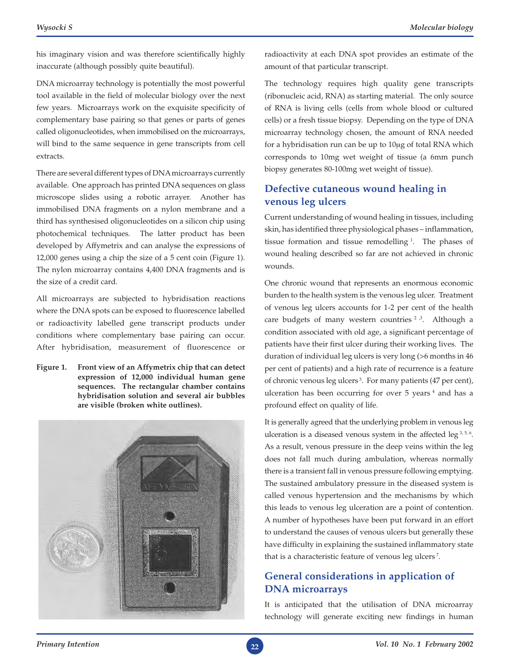his imaginary vision and was therefore scientifically highly inaccurate (although possibly quite beautiful).

DNA microarray technology is potentially the most powerful tool available in the field of molecular biology over the next few years. Microarrays work on the exquisite specificity of complementary base pairing so that genes or parts of genes called oligonucleotides, when immobilised on the microarrays, will bind to the same sequence in gene transcripts from cell extracts.

There are several different types of DNA microarrays currently available. One approach has printed DNA sequences on glass microscope slides using a robotic arrayer. Another has immobilised DNA fragments on a nylon membrane and a third has synthesised oligonucleotides on a silicon chip using photochemical techniques. The latter product has been developed by Affymetrix and can analyse the expressions of 12,000 genes using a chip the size of a 5 cent coin (Figure 1). The nylon microarray contains 4,400 DNA fragments and is the size of a credit card.

All microarrays are subjected to hybridisation reactions where the DNA spots can be exposed to fluorescence labelled or radioactivity labelled gene transcript products under conditions where complementary base pairing can occur. After hybridisation, measurement of fluorescence or

**Figure 1. Front view of an Affymetrix chip that can detect expression of 12,000 individual human gene sequences. The rectangular chamber contains hybridisation solution and several air bubbles are visible (broken white outlines).**



radioactivity at each DNA spot provides an estimate of the amount of that particular transcript.

The technology requires high quality gene transcripts (ribonucleic acid, RNA) as starting material. The only source of RNA is living cells (cells from whole blood or cultured cells) or a fresh tissue biopsy. Depending on the type of DNA microarray technology chosen, the amount of RNA needed for a hybridisation run can be up to 10μg of total RNA which corresponds to 10mg wet weight of tissue (a 6mm punch biopsy generates 80-100mg wet weight of tissue).

# **Defective cutaneous wound healing in venous leg ulcers**

Current understanding of wound healing in tissues, including skin, has identified three physiological phases – inflammation, tissue formation and tissue remodelling 1. The phases of wound healing described so far are not achieved in chronic wounds.

One chronic wound that represents an enormous economic burden to the health system is the venous leg ulcer. Treatment of venous leg ulcers accounts for 1-2 per cent of the health care budgets of many western countries  $2^{3}$ . Although a condition associated with old age, a significant percentage of patients have their first ulcer during their working lives. The duration of individual leg ulcers is very long (>6 months in 46 per cent of patients) and a high rate of recurrence is a feature of chronic venous leg ulcers 3. For many patients (47 per cent), ulceration has been occurring for over 5 years<sup>4</sup> and has a profound effect on quality of life.

It is generally agreed that the underlying problem in venous leg ulceration is a diseased venous system in the affected leg  $3,5,6$ . As a result, venous pressure in the deep veins within the leg does not fall much during ambulation, whereas normally there is a transient fall in venous pressure following emptying. The sustained ambulatory pressure in the diseased system is called venous hypertension and the mechanisms by which this leads to venous leg ulceration are a point of contention. A number of hypotheses have been put forward in an effort to understand the causes of venous ulcers but generally these have difficulty in explaining the sustained inflammatory state that is a characteristic feature of venous leg ulcers<sup>7</sup>.

# **General considerations in application of DNA microarrays**

It is anticipated that the utilisation of DNA microarray technology will generate exciting new findings in human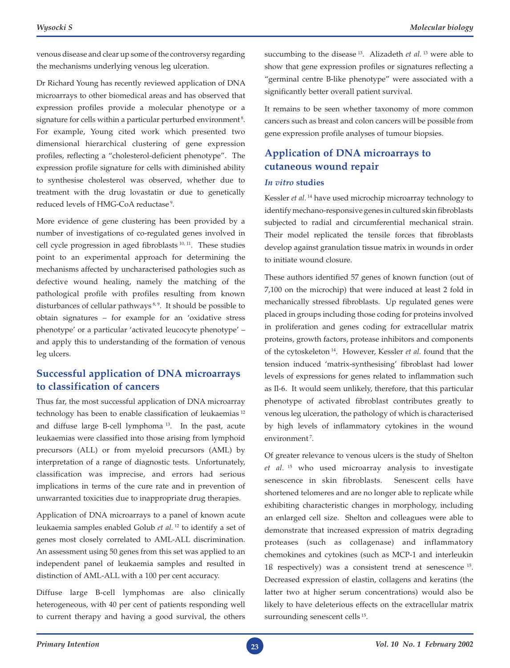venous disease and clear up some of the controversy regarding the mechanisms underlying venous leg ulceration.

Dr Richard Young has recently reviewed application of DNA microarrays to other biomedical areas and has observed that expression profiles provide a molecular phenotype or a signature for cells within a particular perturbed environment<sup>8</sup>. For example, Young cited work which presented two dimensional hierarchical clustering of gene expression profiles, reflecting a "cholesterol-deficient phenotype". The expression profile signature for cells with diminished ability to synthesise cholesterol was observed, whether due to treatment with the drug lovastatin or due to genetically reduced levels of HMG-CoA reductase<sup>9</sup>.

More evidence of gene clustering has been provided by a number of investigations of co-regulated genes involved in cell cycle progression in aged fibroblasts 10, 11. These studies point to an experimental approach for determining the mechanisms affected by uncharacterised pathologies such as defective wound healing, namely the matching of the pathological profile with profiles resulting from known disturbances of cellular pathways<sup>8,9</sup>. It should be possible to obtain signatures – for example for an 'oxidative stress phenotype' or a particular 'activated leucocyte phenotype' – and apply this to understanding of the formation of venous leg ulcers.

## **Successful application of DNA microarrays to classification of cancers**

Thus far, the most successful application of DNA microarray technology has been to enable classification of leukaemias 12 and diffuse large B-cell lymphoma 13. In the past, acute leukaemias were classified into those arising from lymphoid precursors (ALL) or from myeloid precursors (AML) by interpretation of a range of diagnostic tests. Unfortunately, classification was imprecise, and errors had serious implications in terms of the cure rate and in prevention of unwarranted toxicities due to inappropriate drug therapies.

Application of DNA microarrays to a panel of known acute leukaemia samples enabled Golub *et al.* 12 to identify a set of genes most closely correlated to AML-ALL discrimination. An assessment using 50 genes from this set was applied to an independent panel of leukaemia samples and resulted in distinction of AML-ALL with a 100 per cent accuracy.

Diffuse large B-cell lymphomas are also clinically heterogeneous, with 40 per cent of patients responding well to current therapy and having a good survival, the others

succumbing to the disease 13. Alizadeth *et al.* 13 were able to show that gene expression profiles or signatures reflecting a "germinal centre B-like phenotype" were associated with a significantly better overall patient survival.

It remains to be seen whether taxonomy of more common cancers such as breast and colon cancers will be possible from gene expression profile analyses of tumour biopsies.

# **Application of DNA microarrays to cutaneous wound repair**

#### *In vitro* **studies**

Kessler *et al.* 14 have used microchip microarray technology to identify mechano-responsive genes in cultured skin fibroblasts subjected to radial and circumferential mechanical strain. Their model replicated the tensile forces that fibroblasts develop against granulation tissue matrix in wounds in order to initiate wound closure.

These authors identified 57 genes of known function (out of 7,100 on the microchip) that were induced at least 2 fold in mechanically stressed fibroblasts. Up regulated genes were placed in groups including those coding for proteins involved in proliferation and genes coding for extracellular matrix proteins, growth factors, protease inhibitors and components of the cytoskeleton 14. However, Kessler *et al.* found that the tension induced 'matrix-synthesising' fibroblast had lower levels of expressions for genes related to inflammation such as Il-6. It would seem unlikely, therefore, that this particular phenotype of activated fibroblast contributes greatly to venous leg ulceration, the pathology of which is characterised by high levels of inflammatory cytokines in the wound environment<sup>7</sup>.

Of greater relevance to venous ulcers is the study of Shelton *et al.* 15 who used microarray analysis to investigate senescence in skin fibroblasts. Senescent cells have shortened telomeres and are no longer able to replicate while exhibiting characteristic changes in morphology, including an enlarged cell size. Shelton and colleagues were able to demonstrate that increased expression of matrix degrading proteases (such as collagenase) and inflammatory chemokines and cytokines (such as MCP-1 and interleukin 1ß respectively) was a consistent trend at senescence 15. Decreased expression of elastin, collagens and keratins (the latter two at higher serum concentrations) would also be likely to have deleterious effects on the extracellular matrix surrounding senescent cells <sup>15</sup>.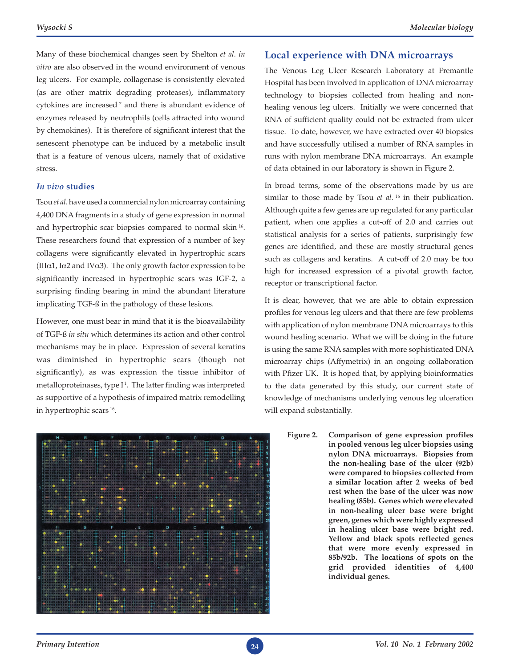Many of these biochemical changes seen by Shelton *et al. in vitro* are also observed in the wound environment of venous leg ulcers. For example, collagenase is consistently elevated (as are other matrix degrading proteases), inflammatory cytokines are increased 7 and there is abundant evidence of enzymes released by neutrophils (cells attracted into wound by chemokines). It is therefore of significant interest that the senescent phenotype can be induced by a metabolic insult that is a feature of venous ulcers, namely that of oxidative stress.

#### *In vivo* **studies**

Tsou *et al.* have used a commercial nylon microarray containing 4,400 DNA fragments in a study of gene expression in normal and hypertrophic scar biopsies compared to normal skin 16. These researchers found that expression of a number of key collagens were significantly elevated in hypertrophic scars (III $\alpha$ 1, I $\alpha$ 2 and IV $\alpha$ 3). The only growth factor expression to be significantly increased in hypertrophic scars was IGF-2, a surprising finding bearing in mind the abundant literature implicating TGF-ß in the pathology of these lesions.

However, one must bear in mind that it is the bioavailability of TGF-ß *in situ* which determines its action and other control mechanisms may be in place. Expression of several keratins was diminished in hypertrophic scars (though not significantly), as was expression the tissue inhibitor of metalloproteinases, type  $I^1$ . The latter finding was interpreted as supportive of a hypothesis of impaired matrix remodelling in hypertrophic scars 16.



#### **Local experience with DNA microarrays**

The Venous Leg Ulcer Research Laboratory at Fremantle Hospital has been involved in application of DNA microarray technology to biopsies collected from healing and nonhealing venous leg ulcers. Initially we were concerned that RNA of sufficient quality could not be extracted from ulcer tissue. To date, however, we have extracted over 40 biopsies and have successfully utilised a number of RNA samples in runs with nylon membrane DNA microarrays. An example of data obtained in our laboratory is shown in Figure 2.

In broad terms, some of the observations made by us are similar to those made by Tsou *et al.* <sup>16</sup> in their publication. Although quite a few genes are up regulated for any particular patient, when one applies a cut-off of 2.0 and carries out statistical analysis for a series of patients, surprisingly few genes are identified, and these are mostly structural genes such as collagens and keratins. A cut-off of 2.0 may be too high for increased expression of a pivotal growth factor, receptor or transcriptional factor.

It is clear, however, that we are able to obtain expression profiles for venous leg ulcers and that there are few problems with application of nylon membrane DNA microarrays to this wound healing scenario. What we will be doing in the future is using the same RNA samples with more sophisticated DNA microarray chips (Affymetrix) in an ongoing collaboration with Pfizer UK. It is hoped that, by applying bioinformatics to the data generated by this study, our current state of knowledge of mechanisms underlying venous leg ulceration will expand substantially.

> **Figure 2. Comparison of gene expression profiles in pooled venous leg ulcer biopsies using nylon DNA microarrays. Biopsies from the non-healing base of the ulcer (92b) were compared to biopsies collected from a similar location after 2 weeks of bed rest when the base of the ulcer was now healing (85b). Genes which were elevated in non-healing ulcer base were bright green, genes which were highly expressed in healing ulcer base were bright red. Yellow and black spots reflected genes that were more evenly expressed in 85b/92b. The locations of spots on the grid provided identities of 4,400 individual genes.**